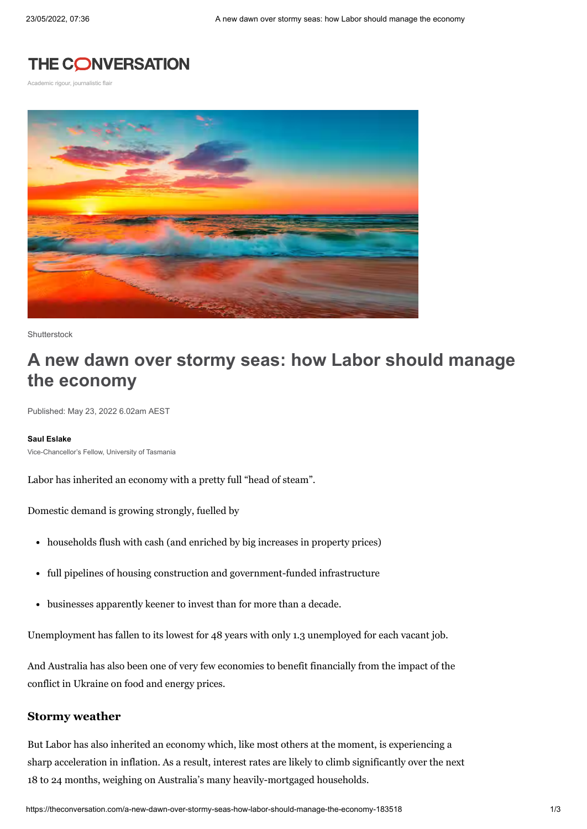## **THE CONVERSATION**

Academic rigour, journalistic flair



**Shutterstock** 

# **A new dawn over stormy seas: how Labor should manage the economy**

Published: May 23, 2022 6.02am AEST

#### **Saul [Eslake](https://theconversation.com/profiles/saul-eslake-665)**

Vice-Chancellor's Fellow, University of Tasmania

Labor has inherited an economy with a pretty full "head of steam".

Domestic demand is growing strongly, fuelled by

- households flush with cash (and enriched by big increases in property prices)
- full pipelines of housing construction and government-funded infrastructure
- businesses apparently keener to invest than for more than a decade.

Unemployment has fallen to its lowest for 48 [years](https://theconversation.com/at-3-9-australias-unemployment-rate-now-officially-begins-with-3-whats-next-183226) with only [1.3](https://theconversation.com/despite-record-vacancies-australians-shouldnt-expect-big-pay-rises-soon-180416) unemployed for each vacant job.

And Australia has also been one of very few economies to benefit financially from the impact of the conflict in Ukraine on food and energy prices.

## **Stormy weather**

But Labor has also inherited an economy which, like most others at the moment, is experiencing a sharp [acceleration](https://theconversation.com/inflation-hits-5-1-how-long-until-mortgage-rates-climb-181832) in inflation. As a result, [interest](https://theconversation.com/rba-governor-philip-lowe-is-hiking-interest-rates-worst-case-itll-mean-an-extra-600-per-month-on-a-500-000-mortgage-182241) rates are likely to climb significantly over the next 18 to 24 months, weighing on Australia's many heavily-mortgaged households.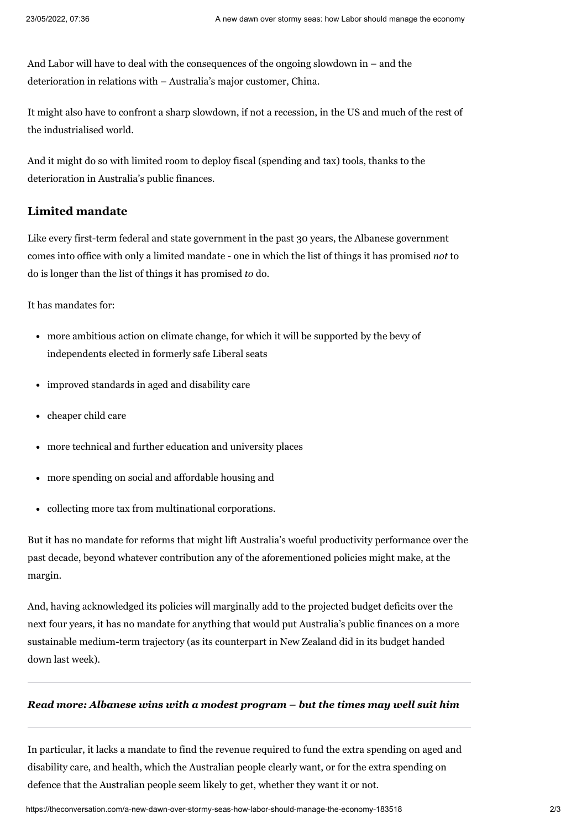And Labor will have to deal with the consequences of the ongoing [slowdown](https://theconversation.com/how-the-pandemic-has-changed-chinas-economy-perhaps-for-good-167597) in – and the deterioration in relations with – Australia's major customer, China.

It might also have to confront a sharp slowdown, if not a [recession,](https://theconversation.com/fed-hopes-for-soft-landing-for-the-us-economy-but-history-suggests-it-wont-be-able-to-prevent-a-recession-182270) in the US and much of the rest of the industrialised world.

And it might do so with limited room to deploy fiscal (spending and tax) tools, thanks to the deterioration in Australia's public finances.

## **Limited mandate**

Like every first-term federal and state government in the past 30 years, the Albanese government comes into office with only a limited mandate - one in which the list of things it has promised *not* to do is longer than the list of things it has promised *to* do.

It has mandates for:

- more ambitious action on climate change, for which it will be supported by the bevy of independents elected in formerly safe Liberal seats
- improved standards in aged and disability care
- cheaper child care
- more technical and further education and university places
- more spending on social and affordable housing and
- collecting more tax from multinational corporations.

But it has no mandate for reforms that might lift Australia's woeful productivity performance over the past decade, beyond whatever contribution any of the aforementioned policies might make, at the margin.

And, having [acknowledged](https://cdn.theconversation.com/static_files/files/2108/ALP_Election_Costing_2022_FINAL_-_Copy.pdf) its policies will marginally add to the projected budget deficits over the next four years, it has no mandate for anything that would put Australia's public finances on a more sustainable medium-term trajectory (as its counterpart in New Zealand did in its budget handed down last week).

### *Read more: [Albanese](https://theconversation.com/albanese-wins-with-a-modest-program-but-the-times-may-well-suit-him-182521) wins with a modest program – but the times may well suit him*

In particular, it lacks a mandate to find the revenue required to fund the extra spending on aged and disability care, and health, which the Australian people clearly want, or for the extra spending on defence that the Australian people seem likely to get, whether they want it or not.